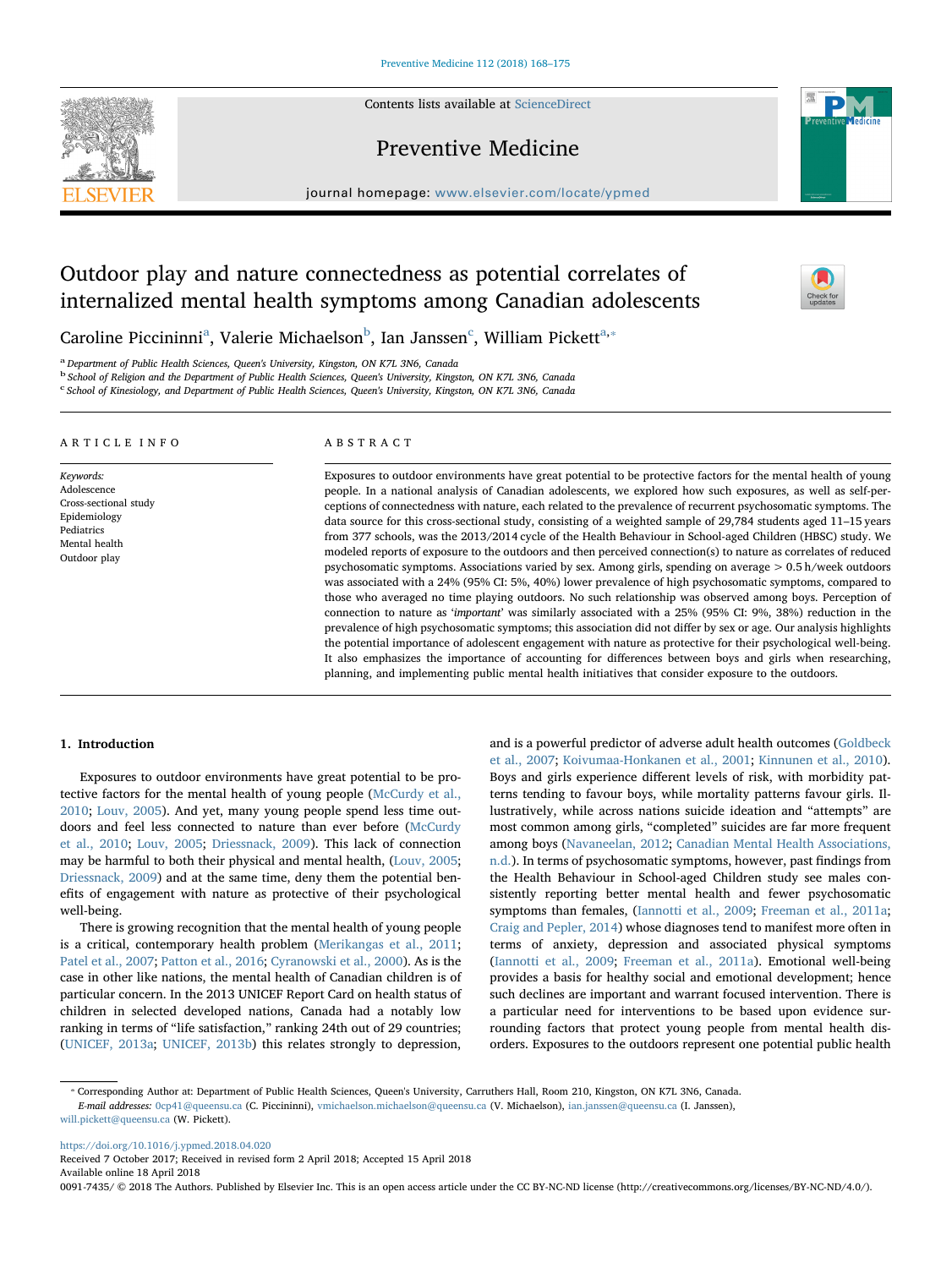Contents lists available at [ScienceDirect](http://www.sciencedirect.com/science/journal/00917435)

# Preventive Medicine

journal homepage: [www.elsevier.com/locate/ypmed](https://www.elsevier.com/locate/ypmed)

# Outdoor play and nature connectedness as potential correlates of internalized mental health symptoms among Canadian adolescents

C[a](#page-0-0)roline Piccininni<sup>a</sup>, Valerie Michaelson<sup>[b](#page-0-1)</sup>, Ian Janssen<sup>[c](#page-0-2)</sup>, William Pickett<sup>[a,](#page-0-0)</sup>\*

<span id="page-0-0"></span><sup>a</sup> Department of Public Health Sciences, Queen's University, Kingston, ON K7L 3N6, Canada

<span id="page-0-1"></span><sup>b</sup> School of Religion and the Department of Public Health Sciences, Queen's University, Kingston, ON K7L 3N6, Canada

<span id="page-0-2"></span>c<br>School of Kinesiology, and Department of Public Health Sciences, Queen's University, Kingston, ON K7L 3N6, Canada

#### ARTICLE INFO Keywords: Adolescence Cross-sectional study Epidemiology **Pediatrics** Mental health Outdoor play ABSTRACT Exposures to outdoor environments have great potential to be protective factors for the mental health of young people. In a national analysis of Canadian adolescents, we explored how such exposures, as well as self-perceptions of connectedness with nature, each related to the prevalence of recurrent psychosomatic symptoms. The data source for this cross-sectional study, consisting of a weighted sample of 29,784 students aged 11–15 years from 377 schools, was the 2013/2014 cycle of the Health Behaviour in School-aged Children (HBSC) study. We modeled reports of exposure to the outdoors and then perceived connection(s) to nature as correlates of reduced psychosomatic symptoms. Associations varied by sex. Among girls, spending on average > 0.5 h/week outdoors was associated with a 24% (95% CI: 5%, 40%) lower prevalence of high psychosomatic symptoms, compared to those who averaged no time playing outdoors. No such relationship was observed among boys. Perception of connection to nature as 'important' was similarly associated with a 25% (95% CI: 9%, 38%) reduction in the prevalence of high psychosomatic symptoms; this association did not differ by sex or age. Our analysis highlights the potential importance of adolescent engagement with nature as protective for their psychological well-being.

It also emphasizes the importance of accounting for differences between boys and girls when researching, planning, and implementing public mental health initiatives that consider exposure to the outdoors.

#### 1. Introduction

Exposures to outdoor environments have great potential to be protective factors for the mental health of young people [\(McCurdy et al.,](#page-6-0) [2010;](#page-6-0) [Louv, 2005](#page-6-1)). And yet, many young people spend less time outdoors and feel less connected to nature than ever before ([McCurdy](#page-6-0) [et al., 2010](#page-6-0); [Louv, 2005;](#page-6-1) [Driessnack, 2009](#page-6-2)). This lack of connection may be harmful to both their physical and mental health, ([Louv, 2005](#page-6-1); [Driessnack, 2009](#page-6-2)) and at the same time, deny them the potential benefits of engagement with nature as protective of their psychological well-being.

There is growing recognition that the mental health of young people is a critical, contemporary health problem ([Merikangas et al., 2011](#page-6-3); [Patel et al., 2007;](#page-7-0) [Patton et al., 2016](#page-7-1); [Cyranowski et al., 2000](#page-6-4)). As is the case in other like nations, the mental health of Canadian children is of particular concern. In the 2013 UNICEF Report Card on health status of children in selected developed nations, Canada had a notably low ranking in terms of "life satisfaction," ranking 24th out of 29 countries; ([UNICEF, 2013a](#page-7-2); [UNICEF, 2013b\)](#page-7-3) this relates strongly to depression,

and is a powerful predictor of adverse adult health outcomes ([Goldbeck](#page-6-5) [et al., 2007](#page-6-5); [Koivumaa-Honkanen et al., 2001;](#page-6-6) [Kinnunen et al., 2010](#page-6-7)). Boys and girls experience different levels of risk, with morbidity patterns tending to favour boys, while mortality patterns favour girls. Illustratively, while across nations suicide ideation and "attempts" are most common among girls, "completed" suicides are far more frequent among boys ([Navaneelan, 2012;](#page-6-8) [Canadian Mental Health Associations,](#page-6-9) [n.d.](#page-6-9)). In terms of psychosomatic symptoms, however, past findings from the Health Behaviour in School-aged Children study see males consistently reporting better mental health and fewer psychosomatic symptoms than females, ([Iannotti et al., 2009](#page-6-10); [Freeman et al., 2011a](#page-6-11); [Craig and Pepler, 2014\)](#page-6-12) whose diagnoses tend to manifest more often in terms of anxiety, depression and associated physical symptoms ([Iannotti et al., 2009](#page-6-10); [Freeman et al., 2011a\)](#page-6-11). Emotional well-being provides a basis for healthy social and emotional development; hence such declines are important and warrant focused intervention. There is a particular need for interventions to be based upon evidence surrounding factors that protect young people from mental health disorders. Exposures to the outdoors represent one potential public health

<span id="page-0-3"></span>⁎ Corresponding Author at: Department of Public Health Sciences, Queen's University, Carruthers Hall, Room 210, Kingston, ON K7L 3N6, Canada.

E-mail addresses: [0cp41@queensu.ca](mailto:0cp41@queensu.ca) (C. Piccininni), [vmichaelson.michaelson@queensu.ca](mailto:vmichaelson.michaelson@queensu.ca) (V. Michaelson), [ian.janssen@queensu.ca](mailto:ian.janssen@queensu.ca) (I. Janssen),

[will.pickett@queensu.ca](mailto:will.pickett@queensu.ca) (W. Pickett).

<https://doi.org/10.1016/j.ypmed.2018.04.020>

Received 7 October 2017; Received in revised form 2 April 2018; Accepted 15 April 2018 Available online 18 April 2018

0091-7435/ © 2018 The Authors. Published by Elsevier Inc. This is an open access article under the CC BY-NC-ND license (http://creativecommons.org/licenses/BY-NC-ND/4.0/).



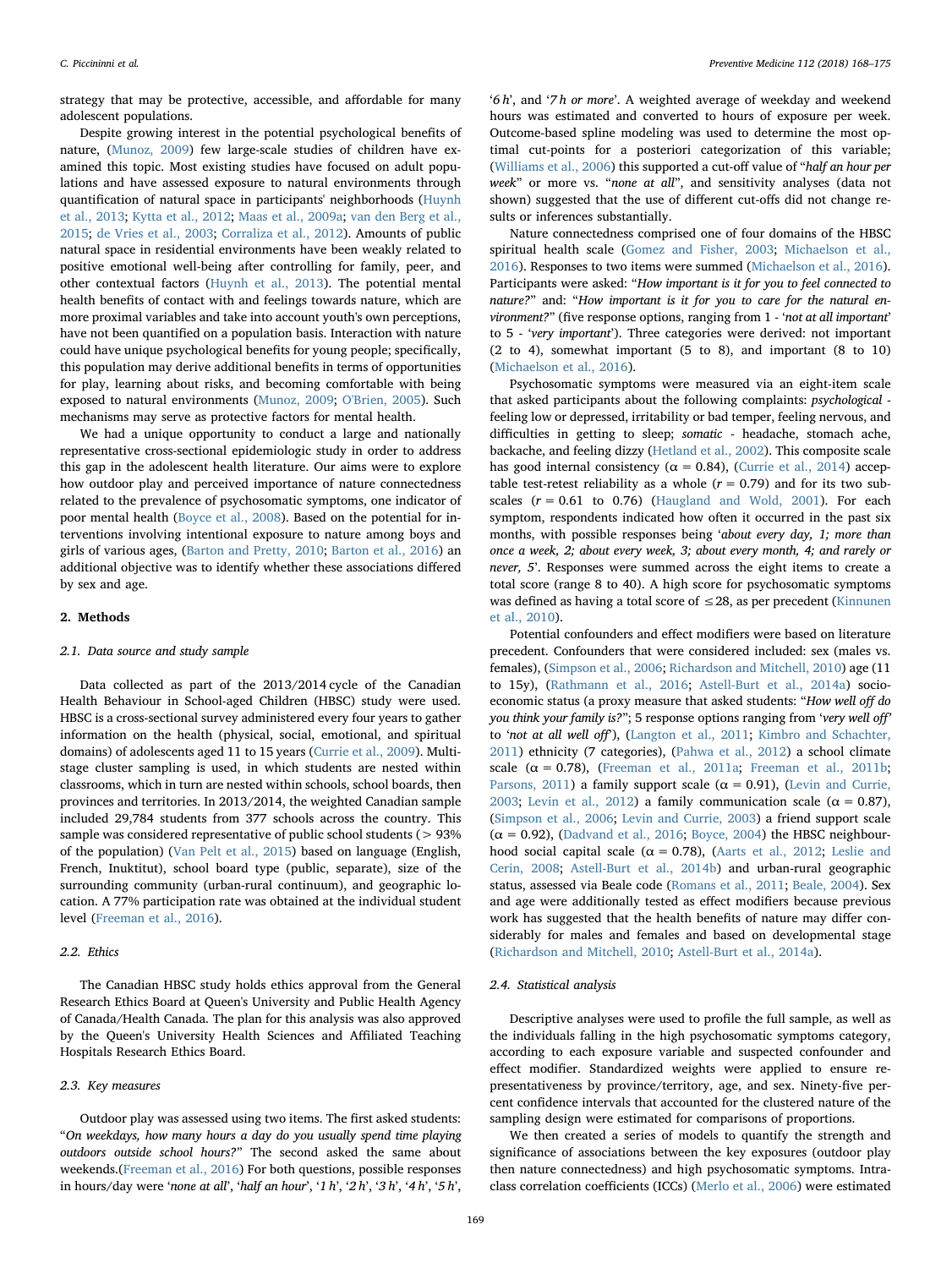strategy that may be protective, accessible, and affordable for many adolescent populations.

Despite growing interest in the potential psychological benefits of nature, ([Munoz, 2009](#page-6-13)) few large-scale studies of children have examined this topic. Most existing studies have focused on adult populations and have assessed exposure to natural environments through quantification of natural space in participants' neighborhoods ([Huynh](#page-6-14) [et al., 2013](#page-6-14); [Kytta et al., 2012;](#page-6-15) [Maas et al., 2009a;](#page-6-16) [van den Berg et al.,](#page-7-4) [2015;](#page-7-4) [de Vries et al., 2003;](#page-6-17) [Corraliza et al., 2012\)](#page-6-18). Amounts of public natural space in residential environments have been weakly related to positive emotional well-being after controlling for family, peer, and other contextual factors ([Huynh et al., 2013\)](#page-6-14). The potential mental health benefits of contact with and feelings towards nature, which are more proximal variables and take into account youth's own perceptions, have not been quantified on a population basis. Interaction with nature could have unique psychological benefits for young people; specifically, this population may derive additional benefits in terms of opportunities for play, learning about risks, and becoming comfortable with being exposed to natural environments ([Munoz, 2009;](#page-6-13) [O'Brien, 2005](#page-6-19)). Such mechanisms may serve as protective factors for mental health.

We had a unique opportunity to conduct a large and nationally representative cross-sectional epidemiologic study in order to address this gap in the adolescent health literature. Our aims were to explore how outdoor play and perceived importance of nature connectedness related to the prevalence of psychosomatic symptoms, one indicator of poor mental health [\(Boyce et al., 2008\)](#page-6-20). Based on the potential for interventions involving intentional exposure to nature among boys and girls of various ages, ([Barton and Pretty, 2010;](#page-5-0) [Barton et al., 2016](#page-5-1)) an additional objective was to identify whether these associations differed by sex and age.

# 2. Methods

#### 2.1. Data source and study sample

Data collected as part of the 2013/2014 cycle of the Canadian Health Behaviour in School-aged Children (HBSC) study were used. HBSC is a cross-sectional survey administered every four years to gather information on the health (physical, social, emotional, and spiritual domains) of adolescents aged 11 to 15 years [\(Currie et al., 2009\)](#page-6-21). Multistage cluster sampling is used, in which students are nested within classrooms, which in turn are nested within schools, school boards, then provinces and territories. In 2013/2014, the weighted Canadian sample included 29,784 students from 377 schools across the country. This sample was considered representative of public school students ( $> 93\%$ of the population) [\(Van Pelt et al., 2015\)](#page-7-5) based on language (English, French, Inuktitut), school board type (public, separate), size of the surrounding community (urban-rural continuum), and geographic location. A 77% participation rate was obtained at the individual student level [\(Freeman et al., 2016](#page-6-22)).

# 2.2. Ethics

The Canadian HBSC study holds ethics approval from the General Research Ethics Board at Queen's University and Public Health Agency of Canada/Health Canada. The plan for this analysis was also approved by the Queen's University Health Sciences and Affiliated Teaching Hospitals Research Ethics Board.

# 2.3. Key measures

Outdoor play was assessed using two items. The first asked students: "On weekdays, how many hours a day do you usually spend time playing outdoors outside school hours?" The second asked the same about weekends.[\(Freeman et al., 2016\)](#page-6-22) For both questions, possible responses in hours/day were 'none at all', 'half an hour', '1 h', '2 h', '3 h', '4 h', '5 h',

'6 h', and '7 h or more'. A weighted average of weekday and weekend hours was estimated and converted to hours of exposure per week. Outcome-based spline modeling was used to determine the most optimal cut-points for a posteriori categorization of this variable; ([Williams et al., 2006](#page-7-6)) this supported a cut-off value of "half an hour per week" or more vs. "none at all", and sensitivity analyses (data not shown) suggested that the use of different cut-offs did not change results or inferences substantially.

Nature connectedness comprised one of four domains of the HBSC spiritual health scale ([Gomez and Fisher, 2003](#page-6-23); [Michaelson et al.,](#page-6-24) [2016\)](#page-6-24). Responses to two items were summed [\(Michaelson et al., 2016](#page-6-24)). Participants were asked: "How important is it for you to feel connected to nature?" and: "How important is it for you to care for the natural environment?" (five response options, ranging from 1 - 'not at all important' to 5 - 'very important'). Three categories were derived: not important (2 to 4), somewhat important (5 to 8), and important (8 to 10) ([Michaelson et al., 2016](#page-6-24)).

Psychosomatic symptoms were measured via an eight-item scale that asked participants about the following complaints: psychological feeling low or depressed, irritability or bad temper, feeling nervous, and difficulties in getting to sleep; somatic - headache, stomach ache, backache, and feeling dizzy [\(Hetland et al., 2002](#page-6-25)). This composite scale has good internal consistency ( $α = 0.84$ ), [\(Currie et al., 2014](#page-6-26)) acceptable test-retest reliability as a whole ( $r = 0.79$ ) and for its two subscales  $(r = 0.61$  to 0.76) ([Haugland and Wold, 2001](#page-6-27)). For each symptom, respondents indicated how often it occurred in the past six months, with possible responses being 'about every day, 1; more than once a week, 2; about every week, 3; about every month, 4; and rarely or never, 5'. Responses were summed across the eight items to create a total score (range 8 to 40). A high score for psychosomatic symptoms was defined as having a total score of  $\leq$  28, as per precedent ([Kinnunen](#page-6-7) [et al., 2010](#page-6-7)).

Potential confounders and effect modifiers were based on literature precedent. Confounders that were considered included: sex (males vs. females), ([Simpson et al., 2006;](#page-7-7) [Richardson and Mitchell, 2010\)](#page-7-8) age (11 to 15y), ([Rathmann et al., 2016;](#page-7-9) [Astell-Burt et al., 2014a](#page-5-2)) socioeconomic status (a proxy measure that asked students: "How well off do you think your family is?"; 5 response options ranging from 'very well off' to 'not at all well off'), ([Langton et al., 2011](#page-6-28); [Kimbro and Schachter,](#page-6-29) [2011\)](#page-6-29) ethnicity (7 categories), [\(Pahwa et al., 2012](#page-6-30)) a school climate scale ( $\alpha = 0.78$ ), [\(Freeman et al., 2011a](#page-6-11); [Freeman et al., 2011b](#page-6-31); [Parsons, 2011](#page-6-32)) a family support scale ( $\alpha$  = 0.91), [\(Levin and Currie,](#page-6-33) [2003;](#page-6-33) [Levin et al., 2012\)](#page-6-34) a family communication scale ( $\alpha = 0.87$ ), ([Simpson et al., 2006](#page-7-7); [Levin and Currie, 2003](#page-6-33)) a friend support scale  $(\alpha = 0.92)$ , ([Dadvand et al., 2016;](#page-6-35) [Boyce, 2004\)](#page-5-3) the HBSC neighbourhood social capital scale ( $\alpha$  = 0.78), ([Aarts et al., 2012](#page-5-4); [Leslie and](#page-6-36) [Cerin, 2008](#page-6-36); [Astell-Burt et al., 2014b](#page-5-5)) and urban-rural geographic status, assessed via Beale code [\(Romans et al., 2011](#page-7-10); [Beale, 2004\)](#page-5-6). Sex and age were additionally tested as effect modifiers because previous work has suggested that the health benefits of nature may differ considerably for males and females and based on developmental stage ([Richardson and Mitchell, 2010](#page-7-8); [Astell-Burt et al., 2014a](#page-5-2)).

# 2.4. Statistical analysis

Descriptive analyses were used to profile the full sample, as well as the individuals falling in the high psychosomatic symptoms category, according to each exposure variable and suspected confounder and effect modifier. Standardized weights were applied to ensure representativeness by province/territory, age, and sex. Ninety-five percent confidence intervals that accounted for the clustered nature of the sampling design were estimated for comparisons of proportions.

We then created a series of models to quantify the strength and significance of associations between the key exposures (outdoor play then nature connectedness) and high psychosomatic symptoms. Intraclass correlation coefficients (ICCs) ([Merlo et al., 2006\)](#page-6-37) were estimated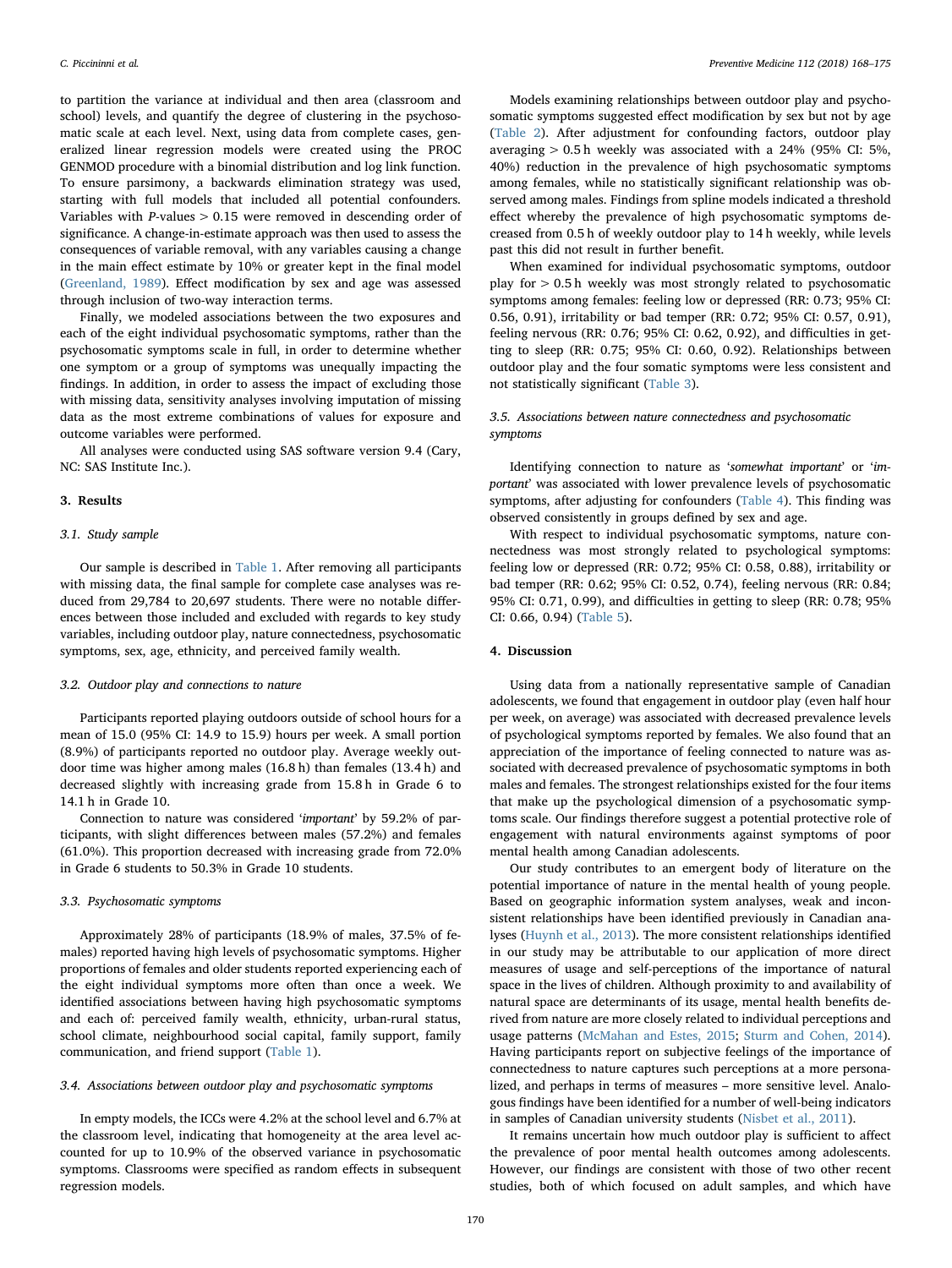to partition the variance at individual and then area (classroom and school) levels, and quantify the degree of clustering in the psychosomatic scale at each level. Next, using data from complete cases, generalized linear regression models were created using the PROC GENMOD procedure with a binomial distribution and log link function. To ensure parsimony, a backwards elimination strategy was used, starting with full models that included all potential confounders. Variables with  $P$ -values  $> 0.15$  were removed in descending order of significance. A change-in-estimate approach was then used to assess the consequences of variable removal, with any variables causing a change in the main effect estimate by 10% or greater kept in the final model ([Greenland, 1989\)](#page-6-38). Effect modification by sex and age was assessed through inclusion of two-way interaction terms.

Finally, we modeled associations between the two exposures and each of the eight individual psychosomatic symptoms, rather than the psychosomatic symptoms scale in full, in order to determine whether one symptom or a group of symptoms was unequally impacting the findings. In addition, in order to assess the impact of excluding those with missing data, sensitivity analyses involving imputation of missing data as the most extreme combinations of values for exposure and outcome variables were performed.

All analyses were conducted using SAS software version 9.4 (Cary, NC: SAS Institute Inc.).

### 3. Results

#### 3.1. Study sample

Our sample is described in [Table 1](#page-3-0). After removing all participants with missing data, the final sample for complete case analyses was reduced from 29,784 to 20,697 students. There were no notable differences between those included and excluded with regards to key study variables, including outdoor play, nature connectedness, psychosomatic symptoms, sex, age, ethnicity, and perceived family wealth.

# 3.2. Outdoor play and connections to nature

Participants reported playing outdoors outside of school hours for a mean of 15.0 (95% CI: 14.9 to 15.9) hours per week. A small portion (8.9%) of participants reported no outdoor play. Average weekly outdoor time was higher among males (16.8 h) than females (13.4 h) and decreased slightly with increasing grade from 15.8 h in Grade 6 to 14.1 h in Grade 10.

Connection to nature was considered 'important' by 59.2% of participants, with slight differences between males (57.2%) and females (61.0%). This proportion decreased with increasing grade from 72.0% in Grade 6 students to 50.3% in Grade 10 students.

#### 3.3. Psychosomatic symptoms

Approximately 28% of participants (18.9% of males, 37.5% of females) reported having high levels of psychosomatic symptoms. Higher proportions of females and older students reported experiencing each of the eight individual symptoms more often than once a week. We identified associations between having high psychosomatic symptoms and each of: perceived family wealth, ethnicity, urban-rural status, school climate, neighbourhood social capital, family support, family communication, and friend support [\(Table 1\)](#page-3-0).

# 3.4. Associations between outdoor play and psychosomatic symptoms

In empty models, the ICCs were 4.2% at the school level and 6.7% at the classroom level, indicating that homogeneity at the area level accounted for up to 10.9% of the observed variance in psychosomatic symptoms. Classrooms were specified as random effects in subsequent regression models.

Models examining relationships between outdoor play and psychosomatic symptoms suggested effect modification by sex but not by age ([Table 2](#page-4-0)). After adjustment for confounding factors, outdoor play averaging > 0.5 h weekly was associated with a 24% (95% CI: 5%, 40%) reduction in the prevalence of high psychosomatic symptoms among females, while no statistically significant relationship was observed among males. Findings from spline models indicated a threshold effect whereby the prevalence of high psychosomatic symptoms decreased from 0.5 h of weekly outdoor play to 14 h weekly, while levels past this did not result in further benefit.

When examined for individual psychosomatic symptoms, outdoor play for  $> 0.5$  h weekly was most strongly related to psychosomatic symptoms among females: feeling low or depressed (RR: 0.73; 95% CI: 0.56, 0.91), irritability or bad temper (RR: 0.72; 95% CI: 0.57, 0.91), feeling nervous (RR: 0.76; 95% CI: 0.62, 0.92), and difficulties in getting to sleep (RR: 0.75; 95% CI: 0.60, 0.92). Relationships between outdoor play and the four somatic symptoms were less consistent and not statistically significant ([Table 3\)](#page-4-1).

# 3.5. Associations between nature connectedness and psychosomatic symptoms

Identifying connection to nature as 'somewhat important' or 'important' was associated with lower prevalence levels of psychosomatic symptoms, after adjusting for confounders ([Table 4](#page-4-2)). This finding was observed consistently in groups defined by sex and age.

With respect to individual psychosomatic symptoms, nature connectedness was most strongly related to psychological symptoms: feeling low or depressed (RR: 0.72; 95% CI: 0.58, 0.88), irritability or bad temper (RR: 0.62; 95% CI: 0.52, 0.74), feeling nervous (RR: 0.84; 95% CI: 0.71, 0.99), and difficulties in getting to sleep (RR: 0.78; 95% CI: 0.66, 0.94) [\(Table 5\)](#page-4-3).

# 4. Discussion

Using data from a nationally representative sample of Canadian adolescents, we found that engagement in outdoor play (even half hour per week, on average) was associated with decreased prevalence levels of psychological symptoms reported by females. We also found that an appreciation of the importance of feeling connected to nature was associated with decreased prevalence of psychosomatic symptoms in both males and females. The strongest relationships existed for the four items that make up the psychological dimension of a psychosomatic symptoms scale. Our findings therefore suggest a potential protective role of engagement with natural environments against symptoms of poor mental health among Canadian adolescents.

Our study contributes to an emergent body of literature on the potential importance of nature in the mental health of young people. Based on geographic information system analyses, weak and inconsistent relationships have been identified previously in Canadian analyses ([Huynh et al., 2013](#page-6-14)). The more consistent relationships identified in our study may be attributable to our application of more direct measures of usage and self-perceptions of the importance of natural space in the lives of children. Although proximity to and availability of natural space are determinants of its usage, mental health benefits derived from nature are more closely related to individual perceptions and usage patterns ([McMahan and Estes, 2015](#page-6-39); [Sturm and Cohen, 2014](#page-7-11)). Having participants report on subjective feelings of the importance of connectedness to nature captures such perceptions at a more personalized, and perhaps in terms of measures – more sensitive level. Analogous findings have been identified for a number of well-being indicators in samples of Canadian university students ([Nisbet et al., 2011\)](#page-6-40).

It remains uncertain how much outdoor play is sufficient to affect the prevalence of poor mental health outcomes among adolescents. However, our findings are consistent with those of two other recent studies, both of which focused on adult samples, and which have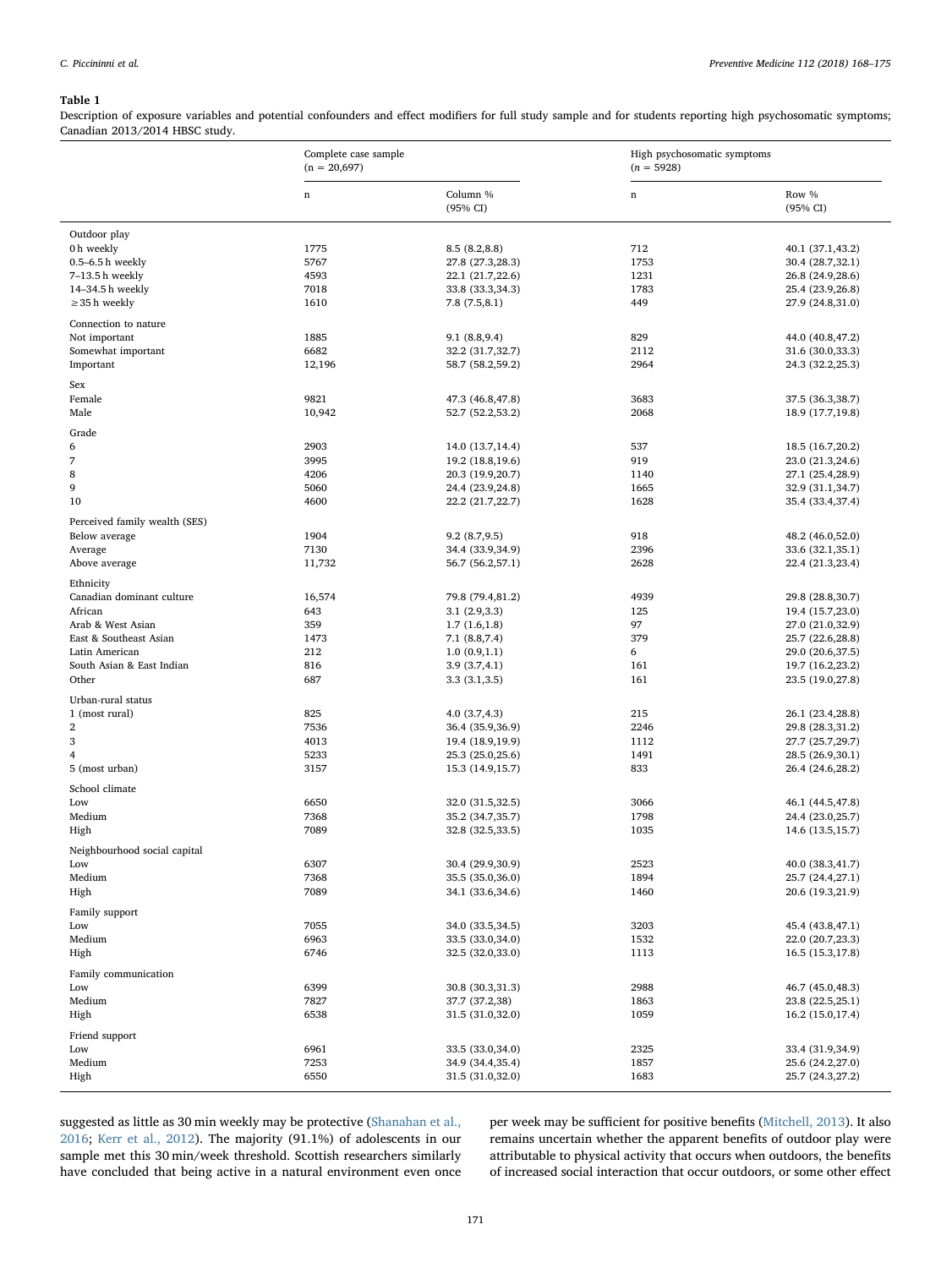### <span id="page-3-0"></span>Table 1

Description of exposure variables and potential confounders and effect modifiers for full study sample and for students reporting high psychosomatic symptoms; Canadian 2013/2014 HBSC study.

|                                        | Complete case sample<br>$(n = 20,697)$ |                                    | High psychosomatic symptoms<br>$(n = 5928)$ |                                        |
|----------------------------------------|----------------------------------------|------------------------------------|---------------------------------------------|----------------------------------------|
|                                        | n                                      | Column %<br>(95% CI)               | $\mathbf n$                                 | Row %<br>(95% CI)                      |
| Outdoor play                           |                                        |                                    |                                             |                                        |
| 0h weekly                              | 1775                                   | 8.5(8.2,8.8)                       | 712                                         | 40.1 (37.1,43.2)                       |
| $0.5 - 6.5$ h weekly                   | 5767                                   | 27.8 (27.3,28.3)                   | 1753                                        | 30.4 (28.7,32.1)                       |
| 7-13.5 h weekly                        | 4593                                   | 22.1 (21.7,22.6)                   | 1231                                        | 26.8 (24.9,28.6)                       |
| 14-34.5 h weekly                       | 7018                                   | 33.8 (33.3,34.3)                   | 1783                                        | 25.4 (23.9,26.8)                       |
| $\geq$ 35 h weekly                     | 1610                                   | 7.8(7.5, 8.1)                      | 449                                         | 27.9 (24.8,31.0)                       |
| Connection to nature                   |                                        |                                    |                                             |                                        |
| Not important                          | 1885                                   | 9.1(8.8, 9.4)                      | 829                                         | 44.0 (40.8,47.2)                       |
| Somewhat important                     | 6682                                   | 32.2 (31.7,32.7)                   | 2112                                        | 31.6 (30.0,33.3)                       |
| Important                              | 12,196                                 | 58.7 (58.2,59.2)                   | 2964                                        | 24.3 (32.2, 25.3)                      |
| Sex                                    |                                        |                                    |                                             |                                        |
| Female                                 | 9821                                   | 47.3 (46.8,47.8)                   | 3683                                        | 37.5 (36.3,38.7)                       |
| Male                                   | 10,942                                 | 52.7 (52.2,53.2)                   | 2068                                        | 18.9 (17.7,19.8)                       |
| Grade                                  |                                        |                                    |                                             |                                        |
| 6                                      | 2903                                   | 14.0 (13.7,14.4)                   | 537                                         | 18.5 (16.7,20.2)                       |
| 7                                      | 3995                                   | 19.2 (18.8,19.6)                   | 919                                         | 23.0 (21.3,24.6)                       |
| 8                                      | 4206                                   | 20.3 (19.9,20.7)                   | 1140                                        | 27.1 (25.4,28.9)                       |
| 9                                      | 5060                                   | 24.4 (23.9,24.8)                   | 1665                                        | 32.9 (31.1,34.7)                       |
| 10                                     | 4600                                   | 22.2 (21.7,22.7)                   | 1628                                        | 35.4 (33.4,37.4)                       |
| Perceived family wealth (SES)          |                                        |                                    |                                             |                                        |
| Below average                          | 1904                                   | 9.2(8.7, 9.5)                      | 918                                         | 48.2 (46.0,52.0)                       |
| Average                                | 7130                                   | 34.4 (33.9,34.9)                   | 2396                                        | 33.6 (32.1,35.1)                       |
| Above average                          | 11,732                                 | 56.7 (56.2,57.1)                   | 2628                                        | 22.4 (21.3,23.4)                       |
|                                        |                                        |                                    |                                             |                                        |
| Ethnicity<br>Canadian dominant culture | 16,574                                 |                                    | 4939                                        |                                        |
| African                                | 643                                    | 79.8 (79.4,81.2)<br>3.1(2.9,3.3)   | 125                                         | 29.8 (28.8,30.7)<br>19.4 (15.7,23.0)   |
| Arab & West Asian                      | 359                                    | 1.7(1.6,1.8)                       | 97                                          | 27.0 (21.0,32.9)                       |
| East & Southeast Asian                 | 1473                                   | 7.1(8.8,7.4)                       | 379                                         | 25.7 (22.6, 28.8)                      |
| Latin American                         | 212                                    | 1.0(0.9,1.1)                       | 6                                           | 29.0 (20.6,37.5)                       |
| South Asian & East Indian              | 816                                    | 3.9(3.7, 4.1)                      | 161                                         | 19.7 (16.2,23.2)                       |
| Other                                  | 687                                    | 3.3(3.1,3.5)                       | 161                                         | 23.5 (19.0,27.8)                       |
| Urban-rural status                     |                                        |                                    |                                             |                                        |
| 1 (most rural)                         | 825                                    | 4.0(3.7, 4.3)                      | 215                                         | 26.1 (23.4,28.8)                       |
| $\boldsymbol{2}$                       | 7536                                   | 36.4 (35.9,36.9)                   | 2246                                        | 29.8 (28.3,31.2)                       |
| 3                                      | 4013                                   | 19.4 (18.9,19.9)                   | 1112                                        | 27.7 (25.7,29.7)                       |
| 4                                      | 5233                                   | 25.3 (25.0, 25.6)                  | 1491                                        | 28.5 (26.9,30.1)                       |
| 5 (most urban)                         | 3157                                   | 15.3 (14.9,15.7)                   | 833                                         | 26.4 (24.6,28.2)                       |
| School climate                         |                                        |                                    |                                             |                                        |
| Low                                    | 6650                                   | 32.0 (31.5,32.5)                   | 3066                                        | 46.1 (44.5,47.8)                       |
| Medium                                 | 7368                                   | 35.2 (34.7,35.7)                   | 1798                                        | 24.4 (23.0, 25.7)                      |
| High                                   | 7089                                   | 32.8 (32.5,33.5)                   | 1035                                        | 14.6 (13.5, 15.7)                      |
| Neighbourhood social capital           |                                        |                                    |                                             |                                        |
| Low                                    | 6307                                   | 30.4 (29.9,30.9)                   | 2523                                        | 40.0 (38.3,41.7)                       |
| Medium                                 | 7368                                   | 35.5 (35.0,36.0)                   | 1894                                        | 25.7 (24.4,27.1)                       |
| High                                   | 7089                                   | 34.1 (33.6,34.6)                   | 1460                                        | 20.6 (19.3,21.9)                       |
|                                        |                                        |                                    |                                             |                                        |
| Family support<br>Low                  | 7055                                   | 34.0 (33.5,34.5)                   | 3203                                        | 45.4 (43.8,47.1)                       |
| Medium                                 | 6963                                   | 33.5 (33.0,34.0)                   | 1532                                        | 22.0 (20.7,23.3)                       |
| High                                   | 6746                                   | 32.5 (32.0,33.0)                   | 1113                                        | 16.5 (15.3,17.8)                       |
|                                        |                                        |                                    |                                             |                                        |
| Family communication                   |                                        |                                    |                                             |                                        |
| Low                                    | 6399                                   | 30.8 (30.3,31.3)                   | 2988                                        | 46.7 (45.0,48.3)                       |
| Medium<br>High                         | 7827<br>6538                           | 37.7 (37.2,38)<br>31.5 (31.0,32.0) | 1863<br>1059                                | 23.8 (22.5, 25.1)<br>16.2 (15.0, 17.4) |
|                                        |                                        |                                    |                                             |                                        |
| Friend support                         |                                        |                                    |                                             |                                        |
| Low                                    | 6961                                   | 33.5 (33.0,34.0)                   | 2325                                        | 33.4 (31.9,34.9)                       |
| Medium                                 | 7253                                   | 34.9 (34.4,35.4)                   | 1857                                        | 25.6 (24.2,27.0)                       |
| High                                   | 6550                                   | 31.5 (31.0,32.0)                   | 1683                                        | 25.7 (24.3,27.2)                       |

suggested as little as 30 min weekly may be protective [\(Shanahan et al.,](#page-7-12) [2016;](#page-7-12) [Kerr et al., 2012\)](#page-6-41). The majority (91.1%) of adolescents in our sample met this 30 min/week threshold. Scottish researchers similarly have concluded that being active in a natural environment even once per week may be sufficient for positive benefits ([Mitchell, 2013\)](#page-6-42). It also remains uncertain whether the apparent benefits of outdoor play were attributable to physical activity that occurs when outdoors, the benefits of increased social interaction that occur outdoors, or some other effect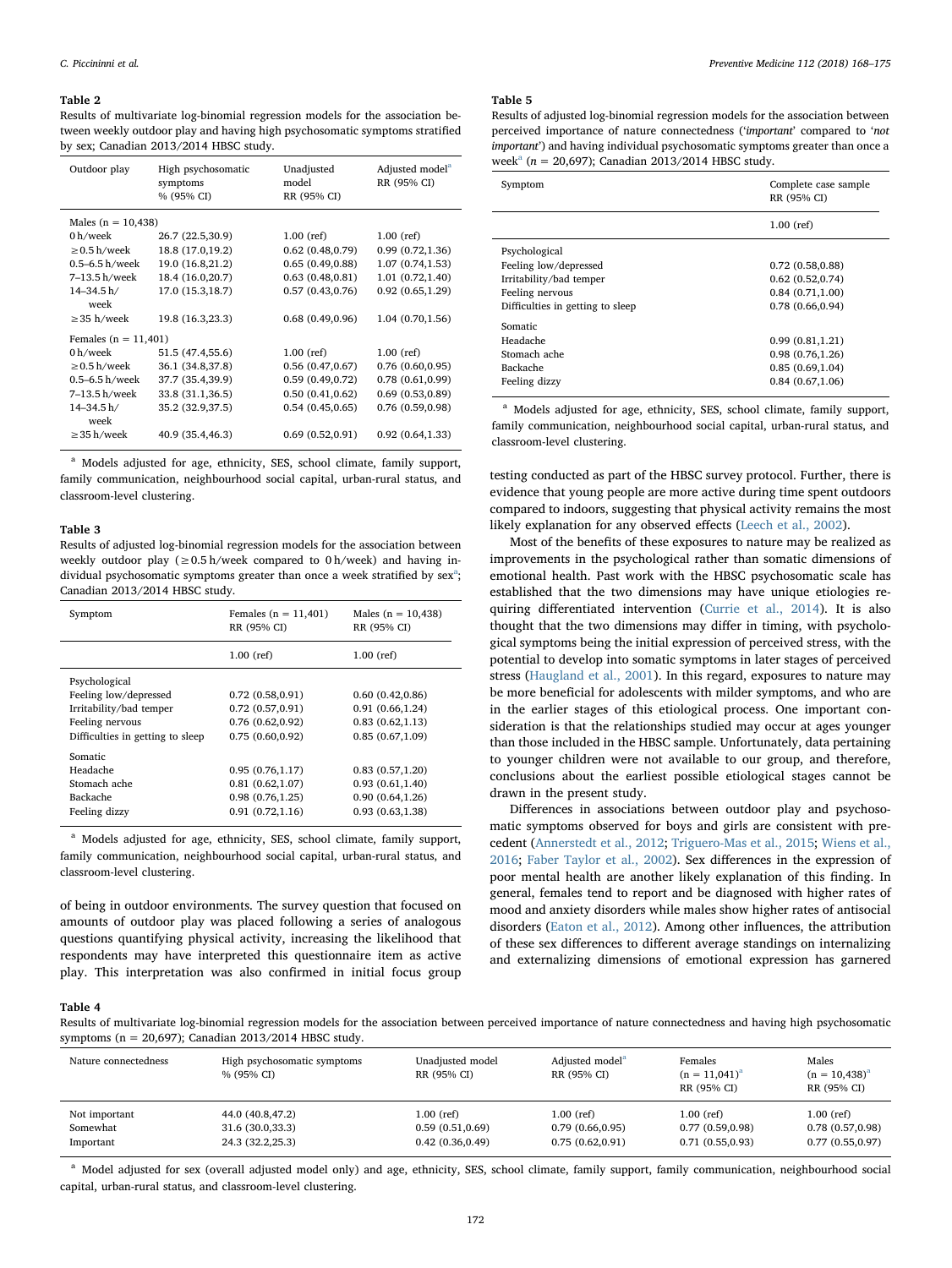#### <span id="page-4-0"></span>Table 2

Results of multivariate log-binomial regression models for the association between weekly outdoor play and having high psychosomatic symptoms stratified by sex; Canadian 2013/2014 HBSC study.

| Outdoor play           | High psychosomatic<br>symptoms<br>% (95% CI) | Unadjusted<br>model<br>RR (95% CI) | Adjusted model <sup>a</sup><br>RR (95% CI) |  |
|------------------------|----------------------------------------------|------------------------------------|--------------------------------------------|--|
| Males ( $n = 10,438$ ) |                                              |                                    |                                            |  |
| 0h/week                | 26.7 (22.5,30.9)                             | $1.00$ (ref)                       | $1.00$ (ref)                               |  |
| $\geq$ 0.5 h/week      | 18.8 (17.0,19.2)                             | 0.62(0.48, 0.79)                   | 0.99(0.72, 1.36)                           |  |
| $0.5 - 6.5 h$ /week    | 19.0 (16.8,21.2)                             | 0.65(0.49, 0.88)                   | 1.07 (0.74,1.53)                           |  |
| 7-13.5 h/week          | 18.4 (16.0,20.7)                             | 0.63(0.48, 0.81)                   | 1.01(0.72, 1.40)                           |  |
| $14 - 34.5 h/$         | 17.0 (15.3,18.7)                             | 0.57(0.43, 0.76)                   | 0.92(0.65, 1.29)                           |  |
| week                   |                                              |                                    |                                            |  |
| $\geq$ 35 h/week       | 19.8 (16.3,23.3)                             | 0.68(0.49, 0.96)                   | 1.04 (0.70,1.56)                           |  |
| Females $(n = 11,401)$ |                                              |                                    |                                            |  |
| 0 h/week               | 51.5 (47.4,55.6)                             | $1.00$ (ref)                       | $1.00$ (ref)                               |  |
| $\geq$ 0.5 h/week      | 36.1 (34.8,37.8)                             | 0.56(0.47, 0.67)                   | 0.76(0.60, 0.95)                           |  |
| $0.5 - 6.5$ h/week     | 37.7 (35.4,39.9)                             | 0.59(0.49, 0.72)                   | 0.78(0.61, 0.99)                           |  |
| $7-13.5$ h/week        | 33.8 (31.1,36.5)                             | 0.50(0.41, 0.62)                   | 0.69(0.53, 0.89)                           |  |
| $14 - 34.5 h/$         | 35.2 (32.9,37.5)                             | 0.54(0.45, 0.65)                   | 0.76(0.59, 0.98)                           |  |
| week                   |                                              |                                    |                                            |  |
| $\geq$ 35 h/week       | 40.9 (35.4,46.3)                             | 0.69(0.52,0.91)                    | 0.92(0.64, 1.33)                           |  |
|                        |                                              |                                    |                                            |  |

<span id="page-4-4"></span><sup>a</sup> Models adjusted for age, ethnicity, SES, school climate, family support, family communication, neighbourhood social capital, urban-rural status, and classroom-level clustering.

#### <span id="page-4-1"></span>Table 3

Results of adjusted log-binomial regression models for the association between weekly outdoor play  $(\geq 0.5 \text{ h/week}$  compared to 0 h/week) and having individu[a](#page-4-5)l psychosomatic symptoms greater than once a week stratified by sex<sup>a</sup>; Canadian 2013/2014 HBSC study.

| Symptom                          | Females $(n = 11,401)$<br>RR (95% CI) | Males ( $n = 10,438$ )<br>RR (95% CI) |  |
|----------------------------------|---------------------------------------|---------------------------------------|--|
|                                  | $1.00$ (ref)                          | $1.00$ (ref)                          |  |
| Psychological                    |                                       |                                       |  |
| Feeling low/depressed            | 0.72(0.58, 0.91)                      | 0.60(0.42, 0.86)                      |  |
| Irritability/bad temper          | 0.72(0.57.0.91)                       | 0.91(0.66.1.24)                       |  |
| Feeling nervous                  | 0.76(0.62, 0.92)                      | 0.83(0.62, 1.13)                      |  |
| Difficulties in getting to sleep | 0.75(0.60.0.92)                       | 0.85(0.67.1.09)                       |  |
| Somatic                          |                                       |                                       |  |
| Headache                         | 0.95(0.76,1.17)                       | 0.83(0.57,1.20)                       |  |
| Stomach ache                     | 0.81(0.62, 1.07)                      | 0.93(0.61, 1.40)                      |  |
| Backache                         | 0.98(0.76, 1.25)                      | 0.90(0.64, 1.26)                      |  |
| Feeling dizzy                    | 0.91(0.72, 1.16)                      | 0.93(0.63, 1.38)                      |  |

<span id="page-4-5"></span><sup>a</sup> Models adjusted for age, ethnicity, SES, school climate, family support, family communication, neighbourhood social capital, urban-rural status, and classroom-level clustering.

of being in outdoor environments. The survey question that focused on amounts of outdoor play was placed following a series of analogous questions quantifying physical activity, increasing the likelihood that respondents may have interpreted this questionnaire item as active play. This interpretation was also confirmed in initial focus group

#### <span id="page-4-3"></span>Table 5

Results of adjusted log-binomial regression models for the association between perceived importance of nature connectedness ('important' compared to 'not important') and having individual psychosomatic symptoms greater than once a week<sup>[a](#page-4-7)</sup> (n = 20,697); Canadian 2013/2014 HBSC study.

| Symptom                          | Complete case sample<br>RR (95% CI) |  |
|----------------------------------|-------------------------------------|--|
|                                  | $1.00$ (ref)                        |  |
| Psychological                    |                                     |  |
| Feeling low/depressed            | 0.72(0.58, 0.88)                    |  |
| Irritability/bad temper          | 0.62(0.52, 0.74)                    |  |
| Feeling nervous                  | 0.84(0.71, 1.00)                    |  |
| Difficulties in getting to sleep | 0.78(0.66, 0.94)                    |  |
| Somatic                          |                                     |  |
| Headache                         | 0.99(0.81, 1.21)                    |  |
| Stomach ache                     | 0.98(0.76, 1.26)                    |  |
| Backache                         | 0.85(0.69, 1.04)                    |  |
| Feeling dizzy                    | 0.84(0.67,1.06)                     |  |

<span id="page-4-7"></span><sup>a</sup> Models adjusted for age, ethnicity, SES, school climate, family support, family communication, neighbourhood social capital, urban-rural status, and classroom-level clustering.

testing conducted as part of the HBSC survey protocol. Further, there is evidence that young people are more active during time spent outdoors compared to indoors, suggesting that physical activity remains the most likely explanation for any observed effects ([Leech et al., 2002](#page-6-43)).

Most of the benefits of these exposures to nature may be realized as improvements in the psychological rather than somatic dimensions of emotional health. Past work with the HBSC psychosomatic scale has established that the two dimensions may have unique etiologies requiring differentiated intervention ([Currie et al., 2014](#page-6-26)). It is also thought that the two dimensions may differ in timing, with psychological symptoms being the initial expression of perceived stress, with the potential to develop into somatic symptoms in later stages of perceived stress [\(Haugland et al., 2001](#page-6-44)). In this regard, exposures to nature may be more beneficial for adolescents with milder symptoms, and who are in the earlier stages of this etiological process. One important consideration is that the relationships studied may occur at ages younger than those included in the HBSC sample. Unfortunately, data pertaining to younger children were not available to our group, and therefore, conclusions about the earliest possible etiological stages cannot be drawn in the present study.

Differences in associations between outdoor play and psychosomatic symptoms observed for boys and girls are consistent with precedent [\(Annerstedt et al., 2012;](#page-5-7) [Triguero-Mas et al., 2015;](#page-7-13) [Wiens et al.,](#page-7-14) [2016;](#page-7-14) [Faber Taylor et al., 2002\)](#page-6-45). Sex differences in the expression of poor mental health are another likely explanation of this finding. In general, females tend to report and be diagnosed with higher rates of mood and anxiety disorders while males show higher rates of antisocial disorders ([Eaton et al., 2012](#page-6-46)). Among other influences, the attribution of these sex differences to different average standings on internalizing and externalizing dimensions of emotional expression has garnered

### <span id="page-4-2"></span>Table 4

Results of multivariate log-binomial regression models for the association between perceived importance of nature connectedness and having high psychosomatic symptoms (n = 20,697); Canadian 2013/2014 HBSC study.

| Nature connectedness | High psychosomatic symptoms<br>% (95% CI) | Unadjusted model<br>RR (95% CI) | Adjusted model <sup>a</sup><br>RR (95% CI) | Females<br>$(n = 11,041)^{a}$<br>RR (95% CI) | Males<br>$(n = 10,438)^{a}$<br>RR (95% CI) |
|----------------------|-------------------------------------------|---------------------------------|--------------------------------------------|----------------------------------------------|--------------------------------------------|
| Not important        | 44.0 (40.8,47.2)                          | $1.00$ (ref)                    | 1.00 (ref)                                 | 1.00 (ref)                                   | $1.00$ (ref)                               |
| Somewhat             | 31.6 (30.0, 33.3)                         | 0.59(0.51, 0.69)                | 0.79(0.66, 0.95)                           | 0.77(0.59.0.98)                              | 0.78(0.57, 0.98)                           |
| Important            | 24.3 (32.2, 25.3)                         | 0.42(0.36, 0.49)                | 0.75(0.62, 0.91)                           | 0.71(0.55, 0.93)                             | 0.77(0.55,0.97)                            |

<span id="page-4-6"></span><sup>a</sup> Model adjusted for sex (overall adjusted model only) and age, ethnicity, SES, school climate, family support, family communication, neighbourhood social capital, urban-rural status, and classroom-level clustering.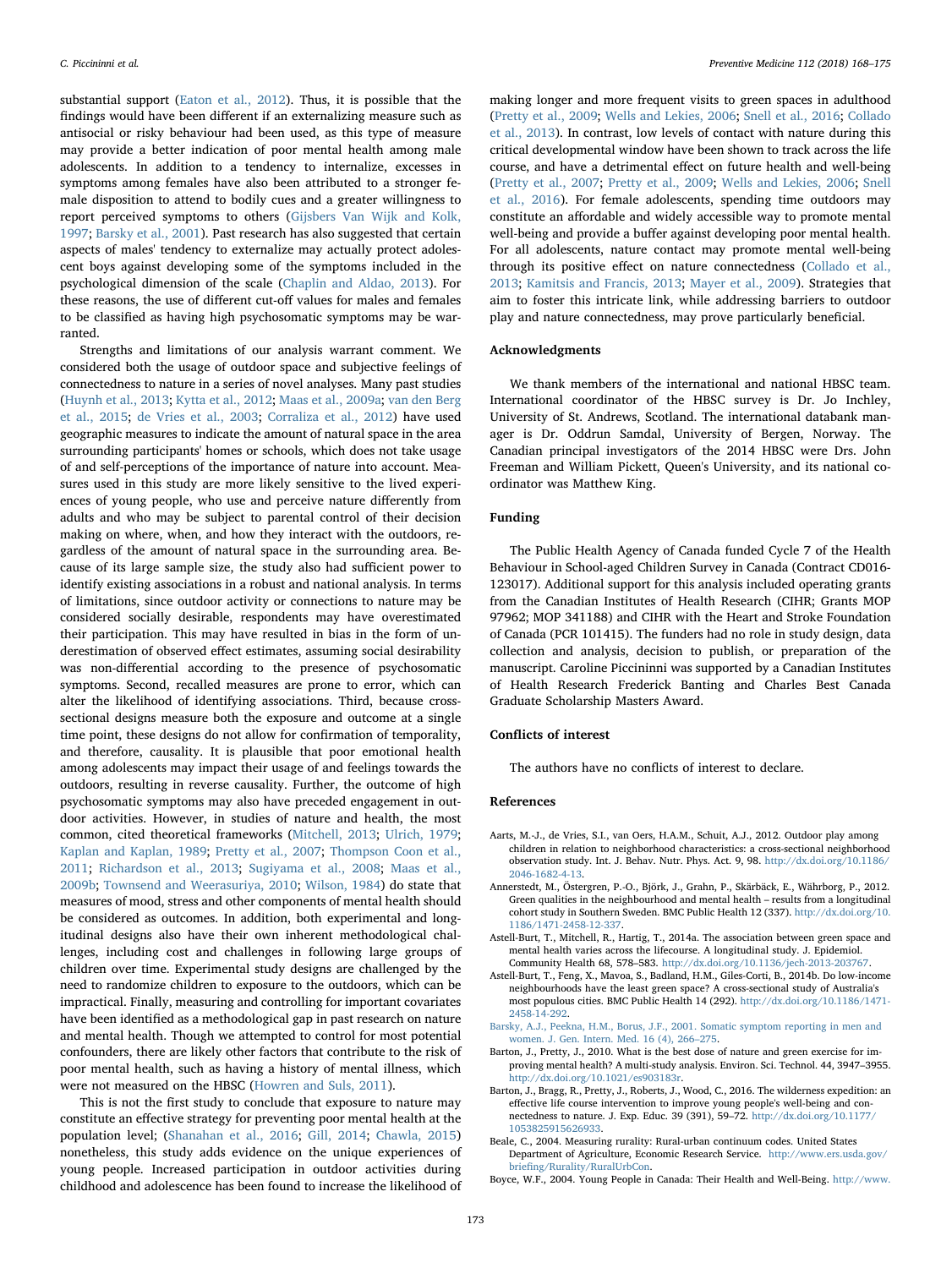substantial support ([Eaton et al., 2012\)](#page-6-46). Thus, it is possible that the findings would have been different if an externalizing measure such as antisocial or risky behaviour had been used, as this type of measure may provide a better indication of poor mental health among male adolescents. In addition to a tendency to internalize, excesses in symptoms among females have also been attributed to a stronger female disposition to attend to bodily cues and a greater willingness to report perceived symptoms to others [\(Gijsbers Van Wijk and Kolk,](#page-6-47) [1997;](#page-6-47) [Barsky et al., 2001\)](#page-5-8). Past research has also suggested that certain aspects of males' tendency to externalize may actually protect adolescent boys against developing some of the symptoms included in the psychological dimension of the scale [\(Chaplin and Aldao, 2013](#page-6-48)). For these reasons, the use of different cut-off values for males and females to be classified as having high psychosomatic symptoms may be warranted.

Strengths and limitations of our analysis warrant comment. We considered both the usage of outdoor space and subjective feelings of connectedness to nature in a series of novel analyses. Many past studies ([Huynh et al., 2013;](#page-6-14) [Kytta et al., 2012](#page-6-15); [Maas et al., 2009a;](#page-6-16) [van den Berg](#page-7-4) [et al., 2015](#page-7-4); [de Vries et al., 2003;](#page-6-17) [Corraliza et al., 2012\)](#page-6-18) have used geographic measures to indicate the amount of natural space in the area surrounding participants' homes or schools, which does not take usage of and self-perceptions of the importance of nature into account. Measures used in this study are more likely sensitive to the lived experiences of young people, who use and perceive nature differently from adults and who may be subject to parental control of their decision making on where, when, and how they interact with the outdoors, regardless of the amount of natural space in the surrounding area. Because of its large sample size, the study also had sufficient power to identify existing associations in a robust and national analysis. In terms of limitations, since outdoor activity or connections to nature may be considered socially desirable, respondents may have overestimated their participation. This may have resulted in bias in the form of underestimation of observed effect estimates, assuming social desirability was non-differential according to the presence of psychosomatic symptoms. Second, recalled measures are prone to error, which can alter the likelihood of identifying associations. Third, because crosssectional designs measure both the exposure and outcome at a single time point, these designs do not allow for confirmation of temporality, and therefore, causality. It is plausible that poor emotional health among adolescents may impact their usage of and feelings towards the outdoors, resulting in reverse causality. Further, the outcome of high psychosomatic symptoms may also have preceded engagement in outdoor activities. However, in studies of nature and health, the most common, cited theoretical frameworks [\(Mitchell, 2013;](#page-6-42) [Ulrich, 1979](#page-7-15); [Kaplan and Kaplan, 1989](#page-6-49); [Pretty et al., 2007](#page-7-16); [Thompson Coon et al.,](#page-7-17) [2011;](#page-7-17) [Richardson et al., 2013](#page-7-18); [Sugiyama et al., 2008](#page-7-19); [Maas et al.,](#page-6-50) [2009b;](#page-6-50) [Townsend and Weerasuriya, 2010](#page-7-20); [Wilson,](#page-7-21) 1984) do state that measures of mood, stress and other components of mental health should be considered as outcomes. In addition, both experimental and longitudinal designs also have their own inherent methodological challenges, including cost and challenges in following large groups of children over time. Experimental study designs are challenged by the need to randomize children to exposure to the outdoors, which can be impractical. Finally, measuring and controlling for important covariates have been identified as a methodological gap in past research on nature and mental health. Though we attempted to control for most potential confounders, there are likely other factors that contribute to the risk of poor mental health, such as having a history of mental illness, which were not measured on the HBSC [\(Howren and Suls, 2011\)](#page-6-51).

This is not the first study to conclude that exposure to nature may constitute an effective strategy for preventing poor mental health at the population level; [\(Shanahan et al., 2016;](#page-7-12) [Gill, 2014](#page-6-52); [Chawla, 2015\)](#page-6-53) nonetheless, this study adds evidence on the unique experiences of young people. Increased participation in outdoor activities during childhood and adolescence has been found to increase the likelihood of

making longer and more frequent visits to green spaces in adulthood ([Pretty et al., 2009;](#page-7-22) [Wells and Lekies, 2006;](#page-7-23) [Snell et al., 2016;](#page-7-24) [Collado](#page-6-54) [et al., 2013](#page-6-54)). In contrast, low levels of contact with nature during this critical developmental window have been shown to track across the life course, and have a detrimental effect on future health and well-being ([Pretty et al., 2007](#page-7-16); [Pretty et al., 2009](#page-7-22); [Wells and Lekies, 2006](#page-7-23); [Snell](#page-7-24) [et al., 2016\)](#page-7-24). For female adolescents, spending time outdoors may constitute an affordable and widely accessible way to promote mental well-being and provide a buffer against developing poor mental health. For all adolescents, nature contact may promote mental well-being through its positive effect on nature connectedness ([Collado et al.,](#page-6-54) [2013;](#page-6-54) [Kamitsis and Francis, 2013;](#page-6-55) [Mayer et al., 2009](#page-6-56)). Strategies that aim to foster this intricate link, while addressing barriers to outdoor play and nature connectedness, may prove particularly beneficial.

# Acknowledgments

We thank members of the international and national HBSC team. International coordinator of the HBSC survey is Dr. Jo Inchley, University of St. Andrews, Scotland. The international databank manager is Dr. Oddrun Samdal, University of Bergen, Norway. The Canadian principal investigators of the 2014 HBSC were Drs. John Freeman and William Pickett, Queen's University, and its national coordinator was Matthew King.

#### Funding

The Public Health Agency of Canada funded Cycle 7 of the Health Behaviour in School-aged Children Survey in Canada (Contract CD016- 123017). Additional support for this analysis included operating grants from the Canadian Institutes of Health Research (CIHR; Grants MOP 97962; MOP 341188) and CIHR with the Heart and Stroke Foundation of Canada (PCR 101415). The funders had no role in study design, data collection and analysis, decision to publish, or preparation of the manuscript. Caroline Piccininni was supported by a Canadian Institutes of Health Research Frederick Banting and Charles Best Canada Graduate Scholarship Masters Award.

### Conflicts of interest

The authors have no conflicts of interest to declare.

#### References

- <span id="page-5-4"></span>Aarts, M.-J., de Vries, S.I., van Oers, H.A.M., Schuit, A.J., 2012. Outdoor play among children in relation to neighborhood characteristics: a cross-sectional neighborhood observation study. Int. J. Behav. Nutr. Phys. Act. 9, 98. [http://dx.doi.org/10.1186/](http://dx.doi.org/10.1186/2046-1682-4-13) [2046-1682-4-13](http://dx.doi.org/10.1186/2046-1682-4-13).
- <span id="page-5-7"></span>Annerstedt, M., Östergren, P.-O., Björk, J., Grahn, P., Skärbäck, E., Währborg, P., 2012. Green qualities in the neighbourhood and mental health – results from a longitudinal cohort study in Southern Sweden. BMC Public Health 12 (337). [http://dx.doi.org/10.](http://dx.doi.org/10.1186/1471-2458-12-337) [1186/1471-2458-12-337.](http://dx.doi.org/10.1186/1471-2458-12-337)
- <span id="page-5-2"></span>Astell-Burt, T., Mitchell, R., Hartig, T., 2014a. The association between green space and mental health varies across the lifecourse. A longitudinal study. J. Epidemiol. Community Health 68, 578–583. [http://dx.doi.org/10.1136/jech-2013-203767.](http://dx.doi.org/10.1136/jech-2013-203767)
- <span id="page-5-5"></span>Astell-Burt, T., Feng, X., Mavoa, S., Badland, H.M., Giles-Corti, B., 2014b. Do low-income neighbourhoods have the least green space? A cross-sectional study of Australia's most populous cities. BMC Public Health 14 (292). [http://dx.doi.org/10.1186/1471-](http://dx.doi.org/10.1186/1471-2458-14-292) [2458-14-292.](http://dx.doi.org/10.1186/1471-2458-14-292)
- <span id="page-5-8"></span>[Barsky, A.J., Peekna, H.M., Borus, J.F., 2001. Somatic symptom reporting in men and](http://refhub.elsevier.com/S0091-7435(18)30131-2/rf0025) [women. J. Gen. Intern. Med. 16 \(4\), 266](http://refhub.elsevier.com/S0091-7435(18)30131-2/rf0025)–275.
- <span id="page-5-0"></span>Barton, J., Pretty, J., 2010. What is the best dose of nature and green exercise for improving mental health? A multi-study analysis. Environ. Sci. Technol. 44, 3947–3955. <http://dx.doi.org/10.1021/es903183r>.
- <span id="page-5-1"></span>Barton, J., Bragg, R., Pretty, J., Roberts, J., Wood, C., 2016. The wilderness expedition: an effective life course intervention to improve young people's well-being and connectedness to nature. J. Exp. Educ. 39 (391), 59–72. [http://dx.doi.org/10.1177/](http://dx.doi.org/10.1177/1053825915626933) [1053825915626933.](http://dx.doi.org/10.1177/1053825915626933)
- <span id="page-5-6"></span>Beale, C., 2004. Measuring rurality: Rural-urban continuum codes. United States Department of Agriculture, Economic Research Service. [http://www.ers.usda.gov/](http://www.ers.usda.gov/briefing/Rurality/RuralUrbCon) briefi[ng/Rurality/RuralUrbCon.](http://www.ers.usda.gov/briefing/Rurality/RuralUrbCon)
- <span id="page-5-3"></span>Boyce, W.F., 2004. Young People in Canada: Their Health and Well-Being. [http://www.](http://www.phac-aspc.gc.ca/hp-ps/dca-dea/publications/hbsc-2004/index-eng.php)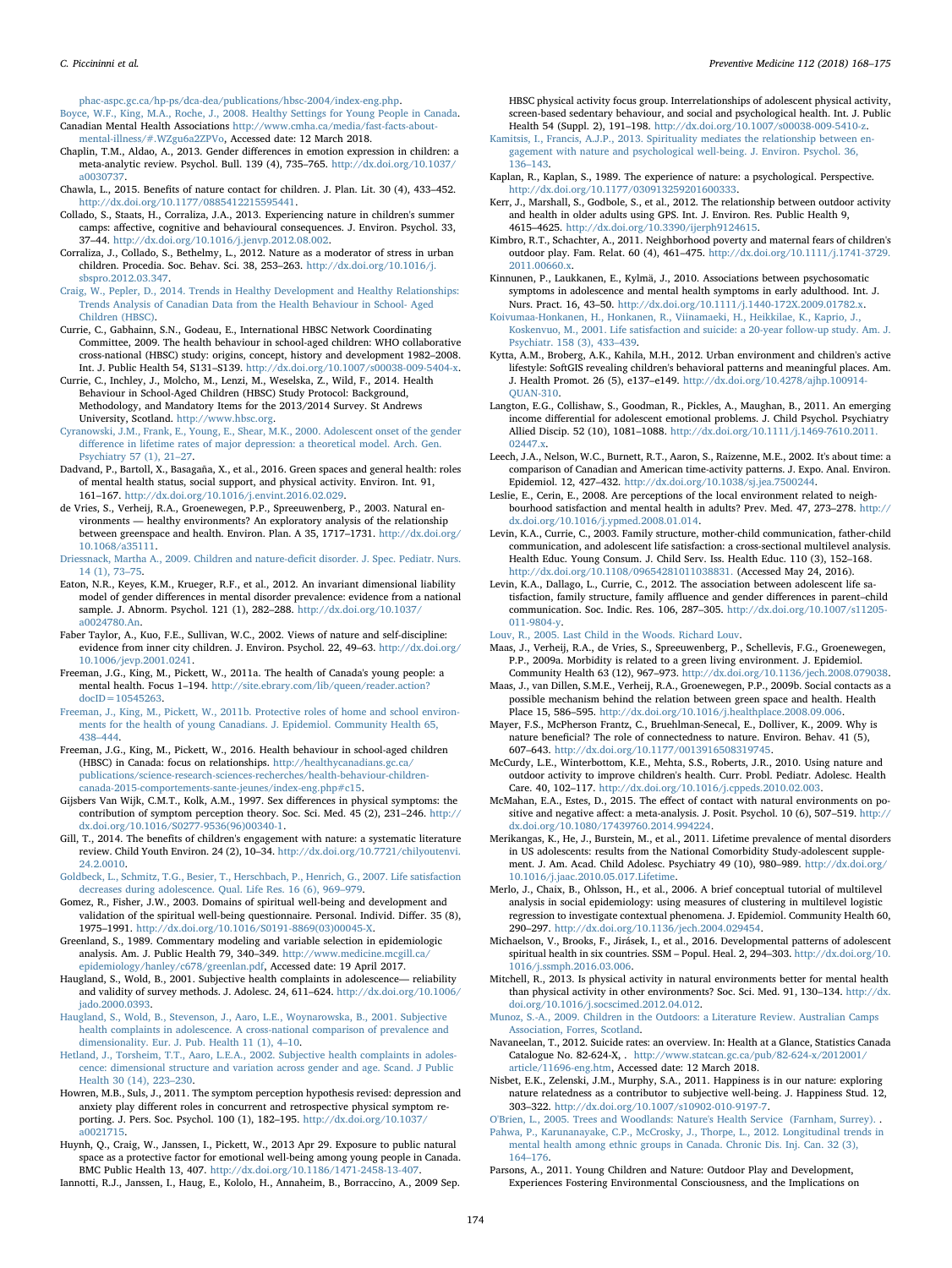[phac-aspc.gc.ca/hp-ps/dca-dea/publications/hbsc-2004/index-eng.php](http://www.phac-aspc.gc.ca/hp-ps/dca-dea/publications/hbsc-2004/index-eng.php).

<span id="page-6-20"></span><span id="page-6-9"></span>[Boyce, W.F., King, M.A., Roche, J., 2008. Healthy Settings for Young People in Canada](http://refhub.elsevier.com/S0091-7435(18)30131-2/rf0050). Canadian Mental Health Associations [http://www.cmha.ca/media/fast-facts-about](http://www.cmha.ca/media/fast-facts-about-mental-illness/#.WZgu6a2ZPVo)[mental-illness/#.WZgu6a2ZPVo](http://www.cmha.ca/media/fast-facts-about-mental-illness/#.WZgu6a2ZPVo), Accessed date: 12 March 2018.

- <span id="page-6-48"></span>Chaplin, T.M., Aldao, A., 2013. Gender differences in emotion expression in children: a meta-analytic review. Psychol. Bull. 139 (4), 735–765. [http://dx.doi.org/10.1037/](http://dx.doi.org/10.1037/a0030737) [a0030737.](http://dx.doi.org/10.1037/a0030737)
- <span id="page-6-53"></span>Chawla, L., 2015. Benefits of nature contact for children. J. Plan. Lit. 30 (4), 433–452. [http://dx.doi.org/10.1177/0885412215595441.](http://dx.doi.org/10.1177/0885412215595441)
- <span id="page-6-54"></span>Collado, S., Staats, H., Corraliza, J.A., 2013. Experiencing nature in children's summer camps: affective, cognitive and behavioural consequences. J. Environ. Psychol. 33, 37–44. [http://dx.doi.org/10.1016/j.jenvp.2012.08.002.](http://dx.doi.org/10.1016/j.jenvp.2012.08.002)
- <span id="page-6-18"></span>Corraliza, J., Collado, S., Bethelmy, L., 2012. Nature as a moderator of stress in urban children. Procedia. Soc. Behav. Sci. 38, 253–263. [http://dx.doi.org/10.1016/j.](http://dx.doi.org/10.1016/j.sbspro.2012.03.347) [sbspro.2012.03.347](http://dx.doi.org/10.1016/j.sbspro.2012.03.347).
- <span id="page-6-12"></span>[Craig, W., Pepler, D., 2014. Trends in Healthy Development and Healthy Relationships:](http://refhub.elsevier.com/S0091-7435(18)30131-2/rf0080) [Trends Analysis of Canadian Data from the Health Behaviour in School- Aged](http://refhub.elsevier.com/S0091-7435(18)30131-2/rf0080) [Children \(HBSC\).](http://refhub.elsevier.com/S0091-7435(18)30131-2/rf0080)
- <span id="page-6-21"></span>Currie, C., Gabhainn, S.N., Godeau, E., International HBSC Network Coordinating Committee, 2009. The health behaviour in school-aged children: WHO collaborative cross-national (HBSC) study: origins, concept, history and development 1982–2008. Int. J. Public Health 54, S131–S139. [http://dx.doi.org/10.1007/s00038-009-5404-x.](http://dx.doi.org/10.1007/s00038-009-5404-x)
- <span id="page-6-26"></span>Currie, C., Inchley, J., Molcho, M., Lenzi, M., Weselska, Z., Wild, F., 2014. Health Behaviour in School-Aged Children (HBSC) Study Protocol: Background, Methodology, and Mandatory Items for the 2013/2014 Survey. St Andrews University, Scotland. [http://www.hbsc.org.](http://www.hbsc.org)
- <span id="page-6-4"></span>[Cyranowski, J.M., Frank, E., Young, E., Shear, M.K., 2000. Adolescent onset of the gender](http://refhub.elsevier.com/S0091-7435(18)30131-2/rf0095) diff[erence in lifetime rates of major depression: a theoretical model. Arch. Gen.](http://refhub.elsevier.com/S0091-7435(18)30131-2/rf0095) [Psychiatry 57 \(1\), 21](http://refhub.elsevier.com/S0091-7435(18)30131-2/rf0095)–27.
- <span id="page-6-35"></span>Dadvand, P., Bartoll, X., Basagaña, X., et al., 2016. Green spaces and general health: roles of mental health status, social support, and physical activity. Environ. Int. 91, 161–167. <http://dx.doi.org/10.1016/j.envint.2016.02.029>.
- <span id="page-6-17"></span>de Vries, S., Verheij, R.A., Groenewegen, P.P., Spreeuwenberg, P., 2003. Natural environments — healthy environments? An exploratory analysis of the relationship between greenspace and health. Environ. Plan. A 35, 1717–1731. [http://dx.doi.org/](http://dx.doi.org/10.1068/a35111) [10.1068/a35111](http://dx.doi.org/10.1068/a35111).
- <span id="page-6-2"></span>[Driessnack, Martha A., 2009. Children and nature-de](http://refhub.elsevier.com/S0091-7435(18)30131-2/rf0110)ficit disorder. J. Spec. Pediatr. Nurs. [14 \(1\), 73](http://refhub.elsevier.com/S0091-7435(18)30131-2/rf0110)–75.
- <span id="page-6-46"></span>Eaton, N.R., Keyes, K.M., Krueger, R.F., et al., 2012. An invariant dimensional liability model of gender differences in mental disorder prevalence: evidence from a national sample. J. Abnorm. Psychol. 121 (1), 282–288. [http://dx.doi.org/10.1037/](http://dx.doi.org/10.1037/a0024780.An) [a0024780.An.](http://dx.doi.org/10.1037/a0024780.An)
- <span id="page-6-45"></span>Faber Taylor, A., Kuo, F.E., Sullivan, W.C., 2002. Views of nature and self-discipline: evidence from inner city children. J. Environ. Psychol. 22, 49–63. [http://dx.doi.org/](http://dx.doi.org/10.1006/jevp.2001.0241) [10.1006/jevp.2001.0241](http://dx.doi.org/10.1006/jevp.2001.0241).
- <span id="page-6-11"></span>Freeman, J.G., King, M., Pickett, W., 2011a. The health of Canada's young people: a mental health. Focus 1–194. [http://site.ebrary.com/lib/queen/reader.action?](http://site.ebrary.com/lib/queen/reader.action?docID=10545263)  $docID = 10545263$ .
- <span id="page-6-31"></span>[Freeman, J., King, M., Pickett, W., 2011b. Protective roles of home and school environ](http://refhub.elsevier.com/S0091-7435(18)30131-2/rf0130)[ments for the health of young Canadians. J. Epidemiol. Community Health 65,](http://refhub.elsevier.com/S0091-7435(18)30131-2/rf0130) 438–[444](http://refhub.elsevier.com/S0091-7435(18)30131-2/rf0130).
- <span id="page-6-22"></span>Freeman, J.G., King, M., Pickett, W., 2016. Health behaviour in school-aged children (HBSC) in Canada: focus on relationships. [http://healthycanadians.gc.ca/](http://healthycanadians.gc.ca/publications/science-research-sciences-recherches/health-behaviour-children-canada-2015-comportements-sante-jeunes/index-eng.php#c15) [publications/science-research-sciences-recherches/health-behaviour-children](http://healthycanadians.gc.ca/publications/science-research-sciences-recherches/health-behaviour-children-canada-2015-comportements-sante-jeunes/index-eng.php#c15)[canada-2015-comportements-sante-jeunes/index-eng.php#c15](http://healthycanadians.gc.ca/publications/science-research-sciences-recherches/health-behaviour-children-canada-2015-comportements-sante-jeunes/index-eng.php#c15).
- <span id="page-6-47"></span>Gijsbers Van Wijk, C.M.T., Kolk, A.M., 1997. Sex differences in physical symptoms: the contribution of symptom perception theory. Soc. Sci. Med. 45 (2), 231–246. [http://](http://dx.doi.org/10.1016/S0277-9536(96)00340-1) [dx.doi.org/10.1016/S0277-9536\(96\)00340-1.](http://dx.doi.org/10.1016/S0277-9536(96)00340-1)
- <span id="page-6-52"></span>Gill, T., 2014. The benefits of children's engagement with nature: a systematic literature review. Child Youth Environ. 24 (2), 10–34. [http://dx.doi.org/10.7721/chilyoutenvi.](http://dx.doi.org/10.7721/chilyoutenvi.24.2.0010) [24.2.0010](http://dx.doi.org/10.7721/chilyoutenvi.24.2.0010).
- <span id="page-6-5"></span>[Goldbeck, L., Schmitz, T.G., Besier, T., Herschbach, P., Henrich, G., 2007. Life satisfaction](http://refhub.elsevier.com/S0091-7435(18)30131-2/rf0150) [decreases during adolescence. Qual. Life Res. 16 \(6\), 969](http://refhub.elsevier.com/S0091-7435(18)30131-2/rf0150)–979.
- <span id="page-6-23"></span>Gomez, R., Fisher, J.W., 2003. Domains of spiritual well-being and development and validation of the spiritual well-being questionnaire. Personal. Individ. Differ. 35 (8), 1975–1991. [http://dx.doi.org/10.1016/S0191-8869\(03\)00045-X](http://dx.doi.org/10.1016/S0191-8869(03)00045-X).
- <span id="page-6-38"></span>Greenland, S., 1989. Commentary modeling and variable selection in epidemiologic analysis. Am. J. Public Health 79, 340–349. [http://www.medicine.mcgill.ca/](http://www.medicine.mcgill.ca/epidemiology/hanley/c678/greenlan.pdf) [epidemiology/hanley/c678/greenlan.pdf](http://www.medicine.mcgill.ca/epidemiology/hanley/c678/greenlan.pdf), Accessed date: 19 April 2017.
- <span id="page-6-27"></span>Haugland, S., Wold, B., 2001. Subjective health complaints in adolescence— reliability and validity of survey methods. J. Adolesc. 24, 611–624. [http://dx.doi.org/10.1006/](http://dx.doi.org/10.1006/jado.2000.0393) [jado.2000.0393.](http://dx.doi.org/10.1006/jado.2000.0393)
- <span id="page-6-44"></span>[Haugland, S., Wold, B., Stevenson, J., Aaro, L.E., Woynarowska, B., 2001. Subjective](http://refhub.elsevier.com/S0091-7435(18)30131-2/rf0170) [health complaints in adolescence. A cross-national comparison of prevalence and](http://refhub.elsevier.com/S0091-7435(18)30131-2/rf0170) [dimensionality. Eur. J. Pub. Health 11 \(1\), 4](http://refhub.elsevier.com/S0091-7435(18)30131-2/rf0170)–10.
- <span id="page-6-25"></span>[Hetland, J., Torsheim, T.T., Aaro, L.E.A., 2002. Subjective health complaints in adoles](http://refhub.elsevier.com/S0091-7435(18)30131-2/rf0175)[cence: dimensional structure and variation across gender and age. Scand. J Public](http://refhub.elsevier.com/S0091-7435(18)30131-2/rf0175) [Health 30 \(14\), 223](http://refhub.elsevier.com/S0091-7435(18)30131-2/rf0175)–230.
- <span id="page-6-51"></span>Howren, M.B., Suls, J., 2011. The symptom perception hypothesis revised: depression and anxiety play different roles in concurrent and retrospective physical symptom reporting. J. Pers. Soc. Psychol. 100 (1), 182–195. [http://dx.doi.org/10.1037/](http://dx.doi.org/10.1037/a0021715) [a0021715.](http://dx.doi.org/10.1037/a0021715)
- <span id="page-6-14"></span>Huynh, Q., Craig, W., Janssen, I., Pickett, W., 2013 Apr 29. Exposure to public natural space as a protective factor for emotional well-being among young people in Canada. BMC Public Health 13, 407. <http://dx.doi.org/10.1186/1471-2458-13-407>.

<span id="page-6-10"></span>Iannotti, R.J., Janssen, I., Haug, E., Kololo, H., Annaheim, B., Borraccino, A., 2009 Sep.

HBSC physical activity focus group. Interrelationships of adolescent physical activity, screen-based sedentary behaviour, and social and psychological health. Int. J. Public Health 54 (Suppl. 2), 191–198. <http://dx.doi.org/10.1007/s00038-009-5410-z>.

- <span id="page-6-55"></span>Kamitsis, [I., Francis, A.J.P., 2013. Spirituality mediates the relationship between en](http://refhub.elsevier.com/S0091-7435(18)30131-2/rf0195)[gagement with nature and psychological well-being. J. Environ. Psychol. 36,](http://refhub.elsevier.com/S0091-7435(18)30131-2/rf0195) 136–[143](http://refhub.elsevier.com/S0091-7435(18)30131-2/rf0195).
- <span id="page-6-49"></span>Kaplan, R., Kaplan, S., 1989. The experience of nature: a psychological. Perspective. <http://dx.doi.org/10.1177/030913259201600333>.
- <span id="page-6-41"></span>Kerr, J., Marshall, S., Godbole, S., et al., 2012. The relationship between outdoor activity and health in older adults using GPS. Int. J. Environ. Res. Public Health 9, 4615–4625. <http://dx.doi.org/10.3390/ijerph9124615>.
- <span id="page-6-29"></span>Kimbro, R.T., Schachter, A., 2011. Neighborhood poverty and maternal fears of children's outdoor play. Fam. Relat. 60 (4), 461–475. [http://dx.doi.org/10.1111/j.1741-3729.](http://dx.doi.org/10.1111/j.1741-3729.2011.00660.x) [2011.00660.x.](http://dx.doi.org/10.1111/j.1741-3729.2011.00660.x)
- <span id="page-6-7"></span>Kinnunen, P., Laukkanen, E., Kylmä, J., 2010. Associations between psychosomatic symptoms in adolescence and mental health symptoms in early adulthood. Int. J. Nurs. Pract. 16, 43–50. <http://dx.doi.org/10.1111/j.1440-172X.2009.01782.x>.

<span id="page-6-6"></span>[Koivumaa-Honkanen, H., Honkanen, R., Viinamaeki, H., Heikkilae, K., Kaprio, J.,](http://refhub.elsevier.com/S0091-7435(18)30131-2/rf0220) [Koskenvuo, M., 2001. Life satisfaction and suicide: a 20-year follow-up study. Am. J.](http://refhub.elsevier.com/S0091-7435(18)30131-2/rf0220) [Psychiatr. 158 \(3\), 433](http://refhub.elsevier.com/S0091-7435(18)30131-2/rf0220)–439.

- <span id="page-6-15"></span>Kytta, A.M., Broberg, A.K., Kahila, M.H., 2012. Urban environment and children's active lifestyle: SoftGIS revealing children's behavioral patterns and meaningful places. Am. J. Health Promot. 26 (5), e137–e149. [http://dx.doi.org/10.4278/ajhp.100914-](http://dx.doi.org/10.4278/ajhp.100914-QUAN-310) [QUAN-310.](http://dx.doi.org/10.4278/ajhp.100914-QUAN-310)
- <span id="page-6-28"></span>Langton, E.G., Collishaw, S., Goodman, R., Pickles, A., Maughan, B., 2011. An emerging income differential for adolescent emotional problems. J. Child Psychol. Psychiatry Allied Discip. 52 (10), 1081–1088. [http://dx.doi.org/10.1111/j.1469-7610.2011.](http://dx.doi.org/10.1111/j.1469-7610.2011.02447.x) [02447.x.](http://dx.doi.org/10.1111/j.1469-7610.2011.02447.x)
- <span id="page-6-43"></span>Leech, J.A., Nelson, W.C., Burnett, R.T., Aaron, S., Raizenne, M.E., 2002. It's about time: a comparison of Canadian and American time-activity patterns. J. Expo. Anal. Environ. Epidemiol. 12, 427–432. <http://dx.doi.org/10.1038/sj.jea.7500244>.
- <span id="page-6-36"></span>Leslie, E., Cerin, E., 2008. Are perceptions of the local environment related to neighbourhood satisfaction and mental health in adults? Prev. Med. 47, 273–278. [http://](http://dx.doi.org/10.1016/j.ypmed.2008.01.014) [dx.doi.org/10.1016/j.ypmed.2008.01.014](http://dx.doi.org/10.1016/j.ypmed.2008.01.014).
- <span id="page-6-33"></span>Levin, K.A., Currie, C., 2003. Family structure, mother-child communication, father-child communication, and adolescent life satisfaction: a cross-sectional multilevel analysis. Health Educ. Young Consum. J. Child Serv. Iss. Health Educ. 110 (3), 152–168. [http://dx.doi.org/10.1108/09654281011038831.](http://dx.doi.org/10.1108/09654281011038831) (Accessed May 24, 2016).
- <span id="page-6-34"></span>Levin, K.A., Dallago, L., Currie, C., 2012. The association between adolescent life satisfaction, family structure, family affluence and gender differences in parent–child communication. Soc. Indic. Res. 106, 287–305. [http://dx.doi.org/10.1007/s11205-](http://dx.doi.org/10.1007/s11205-011-9804-y) [011-9804-y](http://dx.doi.org/10.1007/s11205-011-9804-y).
- <span id="page-6-1"></span>[Louv, R., 2005. Last Child in the Woods. Richard Louv.](http://refhub.elsevier.com/S0091-7435(18)30131-2/rf0255)
- <span id="page-6-16"></span>Maas, J., Verheij, R.A., de Vries, S., Spreeuwenberg, P., Schellevis, F.G., Groenewegen, P.P., 2009a. Morbidity is related to a green living environment. J. Epidemiol. Community Health 63 (12), 967–973. [http://dx.doi.org/10.1136/jech.2008.079038.](http://dx.doi.org/10.1136/jech.2008.079038)
- <span id="page-6-50"></span>Maas, J., van Dillen, S.M.E., Verheij, R.A., Groenewegen, P.P., 2009b. Social contacts as a possible mechanism behind the relation between green space and health. Health Place 15, 586–595. <http://dx.doi.org/10.1016/j.healthplace.2008.09.006>.
- <span id="page-6-56"></span>Mayer, F.S., McPherson Frantz, C., Bruehlman-Senecal, E., Dolliver, K., 2009. Why is nature beneficial? The role of connectedness to nature. Environ. Behav. 41 (5), 607–643. [http://dx.doi.org/10.1177/0013916508319745.](http://dx.doi.org/10.1177/0013916508319745)
- <span id="page-6-0"></span>McCurdy, L.E., Winterbottom, K.E., Mehta, S.S., Roberts, J.R., 2010. Using nature and outdoor activity to improve children's health. Curr. Probl. Pediatr. Adolesc. Health Care. 40, 102–117. [http://dx.doi.org/10.1016/j.cppeds.2010.02.003.](http://dx.doi.org/10.1016/j.cppeds.2010.02.003)
- <span id="page-6-39"></span>McMahan, E.A., Estes, D., 2015. The effect of contact with natural environments on positive and negative affect: a meta-analysis. J. Posit. Psychol. 10 (6), 507–519. [http://](http://dx.doi.org/10.1080/17439760.2014.994224) [dx.doi.org/10.1080/17439760.2014.994224](http://dx.doi.org/10.1080/17439760.2014.994224).
- <span id="page-6-3"></span>Merikangas, K., He, J., Burstein, M., et al., 2011. Lifetime prevalence of mental disorders in US adolescents: results from the National Comorbidity Study-adolescent supplement. J. Am. Acad. Child Adolesc. Psychiatry 49 (10), 980–989. [http://dx.doi.org/](http://dx.doi.org/10.1016/j.jaac.2010.05.017.Lifetime) [10.1016/j.jaac.2010.05.017.Lifetime.](http://dx.doi.org/10.1016/j.jaac.2010.05.017.Lifetime)
- <span id="page-6-37"></span>Merlo, J., Chaix, B., Ohlsson, H., et al., 2006. A brief conceptual tutorial of multilevel analysis in social epidemiology: using measures of clustering in multilevel logistic regression to investigate contextual phenomena. J. Epidemiol. Community Health 60, 290–297. <http://dx.doi.org/10.1136/jech.2004.029454>.
- <span id="page-6-24"></span>Michaelson, V., Brooks, F., Jirásek, I., et al., 2016. Developmental patterns of adolescent spiritual health in six countries. SSM – Popul. Heal. 2, 294–303. [http://dx.doi.org/10.](http://dx.doi.org/10.1016/j.ssmph.2016.03.006) [1016/j.ssmph.2016.03.006](http://dx.doi.org/10.1016/j.ssmph.2016.03.006).
- <span id="page-6-42"></span>Mitchell, R., 2013. Is physical activity in natural environments better for mental health than physical activity in other environments? Soc. Sci. Med. 91, 130–134. [http://dx.](http://dx.doi.org/10.1016/j.socscimed.2012.04.012) [doi.org/10.1016/j.socscimed.2012.04.012](http://dx.doi.org/10.1016/j.socscimed.2012.04.012).
- <span id="page-6-13"></span>[Munoz, S.-A., 2009. Children in the Outdoors: a Literature Review. Australian Camps](http://refhub.elsevier.com/S0091-7435(18)30131-2/rf0305) [Association, Forres, Scotland](http://refhub.elsevier.com/S0091-7435(18)30131-2/rf0305).
- <span id="page-6-8"></span>Navaneelan, T., 2012. Suicide rates: an overview. In: Health at a Glance, Statistics Canada Catalogue No. 82-624-X, . [http://www.statcan.gc.ca/pub/82-624-x/2012001/](http://www.statcan.gc.ca/pub/82-624-x/2012001/article/11696-eng.htm) [article/11696-eng.htm,](http://www.statcan.gc.ca/pub/82-624-x/2012001/article/11696-eng.htm) Accessed date: 12 March 2018.
- <span id="page-6-40"></span>Nisbet, E.K., Zelenski, J.M., Murphy, S.A., 2011. Happiness is in our nature: exploring nature relatedness as a contributor to subjective well-being. J. Happiness Stud. 12, 303–322. <http://dx.doi.org/10.1007/s10902-010-9197-7>.
- <span id="page-6-30"></span><span id="page-6-19"></span>[O'Brien, L., 2005. Trees and Woodlands: Nature's Health Service \(Farnham, Surrey\).](http://refhub.elsevier.com/S0091-7435(18)30131-2/rf0320) . [Pahwa, P., Karunanayake, C.P., McCrosky, J., Thorpe, L., 2012. Longitudinal trends in](http://refhub.elsevier.com/S0091-7435(18)30131-2/rf0325) [mental health among ethnic groups in Canada. Chronic Dis. Inj. Can. 32 \(3\),](http://refhub.elsevier.com/S0091-7435(18)30131-2/rf0325) 164–[176](http://refhub.elsevier.com/S0091-7435(18)30131-2/rf0325).
- <span id="page-6-32"></span>Parsons, A., 2011. Young Children and Nature: Outdoor Play and Development, Experiences Fostering Environmental Consciousness, and the Implications on